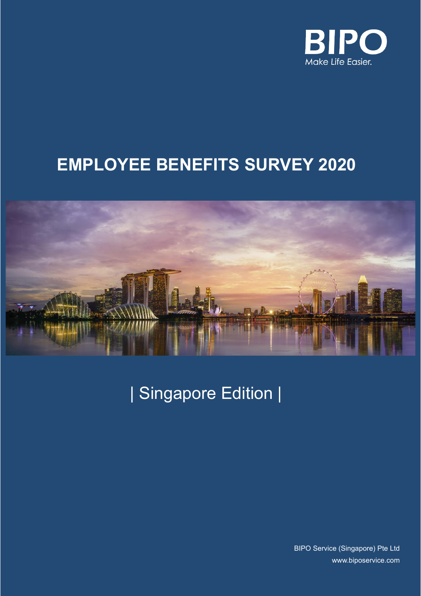

# **EMPLOYEE BENEFITS SURVEY 2020**



| Singapore Edition |

BIPO Service (Singapore) Pte Ltd [www.biposervice.com](http://www.biposervice.com/)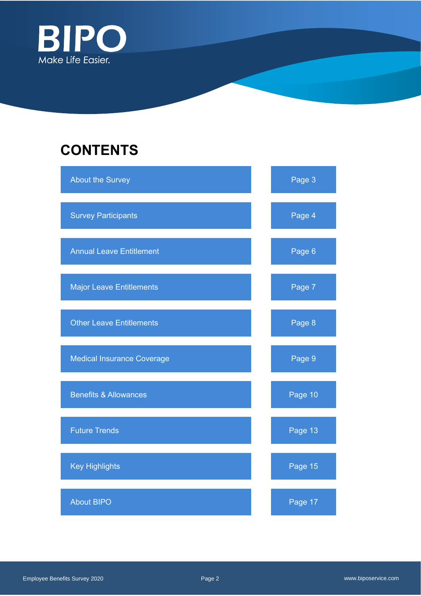

# **CONTENTS**

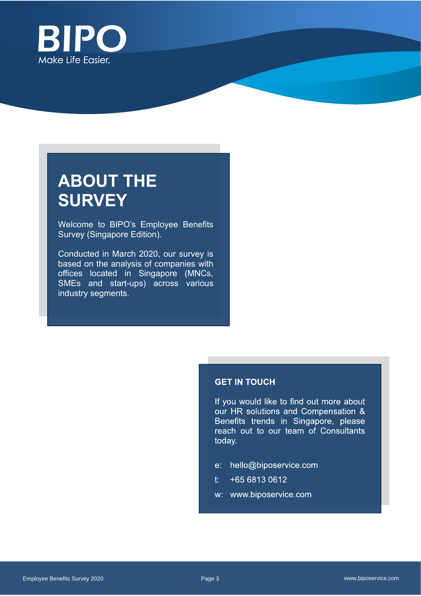

# **ABOUT THE SURVEY**

Welcome to BIPO's Employee Benefits Survey (Singapore Edition).

Conducted in March 2020, our survey is based on the analysis of companies with offices located in Singapore (MNCs, SMEs and start-ups) across various industry segments.

### **GET IN TOUCH**

If you would like to find out more about our HR solutions and Compensation & Benefits trends in Singapore, please reach out to our team of Consultants today.

- e: hello@biposervice.com
- $t: 46568130612$
- w: www.biposervice.com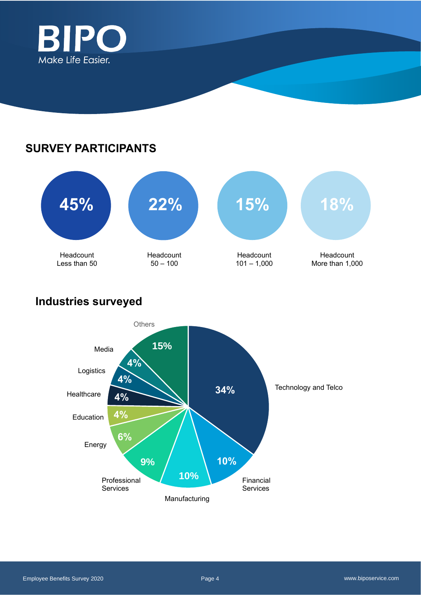

## **SURVEY PARTICIPANTS**



## **Industries surveyed**

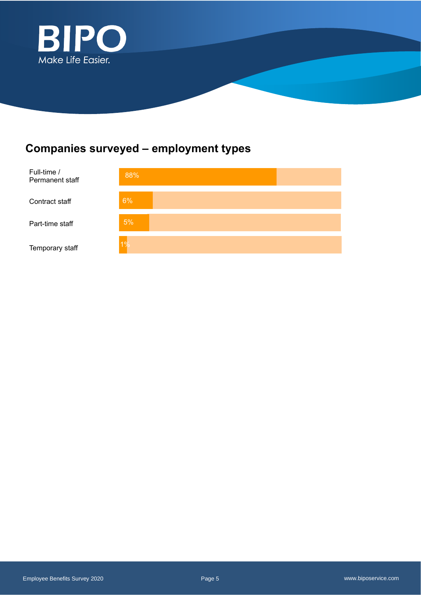

## **Companies surveyed – employment types**

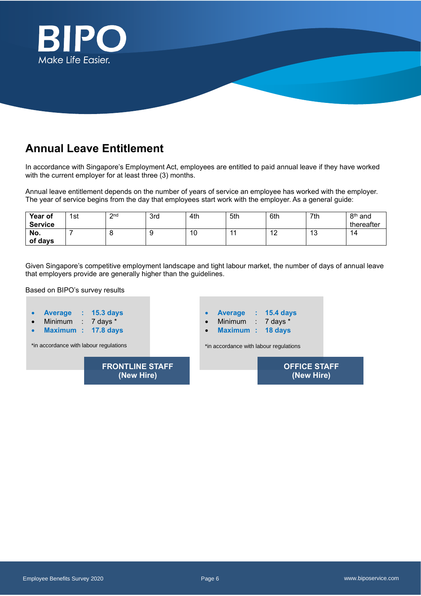

## **Annual Leave Entitlement**

In accordance with Singapore's Employment Act, employees are entitled to paid annual leave if they have worked with the current employer for at least three (3) months.

Annual leave entitlement depends on the number of years of service an employee has worked with the employer. The year of service begins from the day that employees start work with the employer. As a general guide:

| Year of<br><b>Service</b> | 1st | 2 <sub>nd</sub><br>- | 3rd    | 4th | 5th | 6th           | 7th           | 8 <sup>th</sup> and<br>thereafter |
|---------------------------|-----|----------------------|--------|-----|-----|---------------|---------------|-----------------------------------|
| No.<br>of days            |     |                      | ╰<br>ັ | 10  |     | $\sim$<br>' 4 | $\sim$<br>د ا | 14                                |

Given Singapore's competitive employment landscape and tight labour market, the number of days of annual leave that employers provide are generally higher than the guidelines.

Based on BIPO's survey results



Employee Benefits Survey 2020 Page 6 www.biposervice.com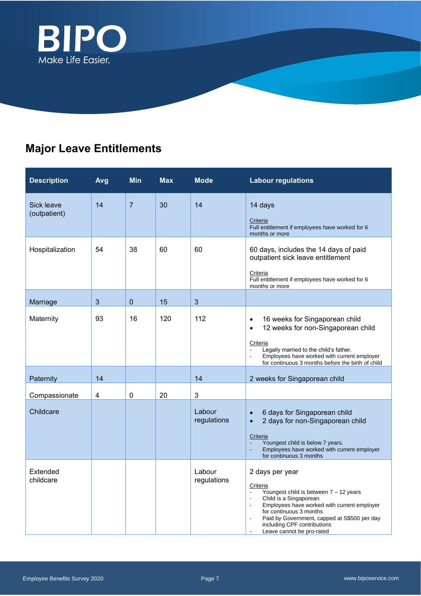

## **Major Leave Entitlements**

| <b>Description</b>         | Avg | <b>Min</b>     | <b>Max</b> | <b>Mode</b>           | <b>Labour regulations</b>                                                                                                                                                                                                                                                                                         |
|----------------------------|-----|----------------|------------|-----------------------|-------------------------------------------------------------------------------------------------------------------------------------------------------------------------------------------------------------------------------------------------------------------------------------------------------------------|
| Sick leave<br>(outpatient) | 14  | $\overline{7}$ | 30         | 14                    | 14 days<br>Criteria<br>Full entitlement if employees have worked for 6<br>months or more                                                                                                                                                                                                                          |
| Hospitalization            | 54  | 38             | 60         | 60                    | 60 days, includes the 14 days of paid<br>outpatient sick leave entitlement<br><b>Criteria</b><br>Full entitlement if employees have worked for 6<br>months or more                                                                                                                                                |
| Marriage                   | 3   | $\mathbf 0$    | 15         | 3                     |                                                                                                                                                                                                                                                                                                                   |
| Maternity                  | 93  | 16             | 120        | 112                   | 16 weeks for Singaporean child<br>$\bullet$<br>12 weeks for non-Singaporean child<br>$\bullet$<br>Criteria<br>Legally married to the child's father.<br>Employees have worked with current employer<br>ä,<br>for continuous 3 months before the birth of child                                                    |
| Paternity                  | 14  |                |            | 14                    | 2 weeks for Singaporean child                                                                                                                                                                                                                                                                                     |
| Compassionate              | 4   | $\mathbf 0$    | 20         | 3                     |                                                                                                                                                                                                                                                                                                                   |
| Childcare                  |     |                |            | Labour<br>regulations | 6 days for Singaporean child<br>$\bullet$<br>2 days for non-Singaporean child<br>$\bullet$<br>Criteria<br>Youngest child is below 7 years.<br>Employees have worked with current employer<br>for continuous 3 months                                                                                              |
| Extended<br>childcare      |     |                |            | Labour<br>regulations | 2 days per year<br>Criteria<br>Youngest child is between 7 - 12 years<br>Child is a Singaporean<br>$\blacksquare$<br>Employees have worked with current employer<br>$\sim$<br>for continuous 3 months<br>Paid by Government, capped at S\$500 per day<br>including CPF contributions<br>Leave cannot be pro-rated |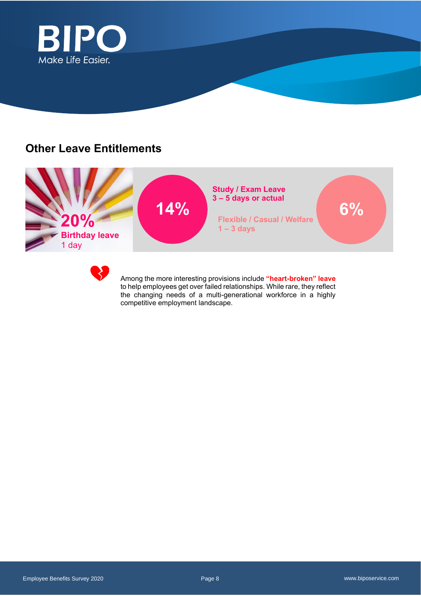

### **Other Leave Entitlements**



Work Benefits

Among the more interesting provisions include **"heart-broken" leave** to help employees get over failed relationships. While rare, they reflect the changing needs of a multi-generational workforce in a highly competitive employment landscape.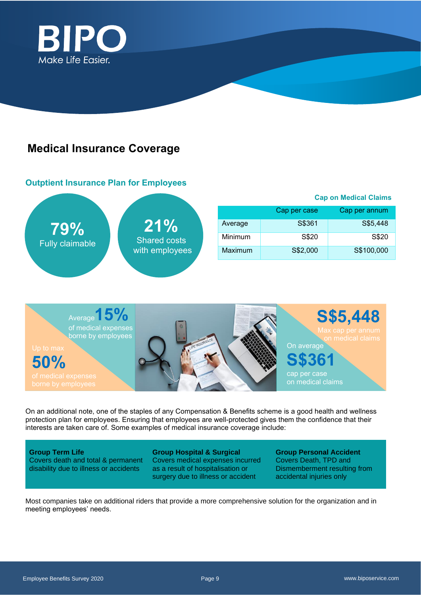

## **Medical Insurance Coverage**

### **Outptient Insurance Plan for Employees**



|         |              | <b>Cap on Medical Claims</b> |  |  |  |  |  |
|---------|--------------|------------------------------|--|--|--|--|--|
|         | Cap per case | Cap per annum                |  |  |  |  |  |
| Average | S\$361       | S\$5,448                     |  |  |  |  |  |
| Minimum | S\$20        | S\$20                        |  |  |  |  |  |
| Maximum | S\$2,000     | S\$100,000                   |  |  |  |  |  |



On an additional note, one of the staples of any Compensation & Benefits scheme is a good health and wellness protection plan for employees. Ensuring that employees are well-protected gives them the confidence that their interests are taken care of. Some examples of medical insurance coverage include:

**Group Term Life**  Covers death and total & permanent disability due to illness or accidents

**Group Hospital & Surgical** Covers medical expenses incurred as a result of hospitalisation or surgery due to illness or accident

**Group Personal Accident** Covers Death, TPD and Dismemberment resulting from accidental injuries only

Most companies take on additional riders that provide a more comprehensive solution for the organization and in meeting employees' needs.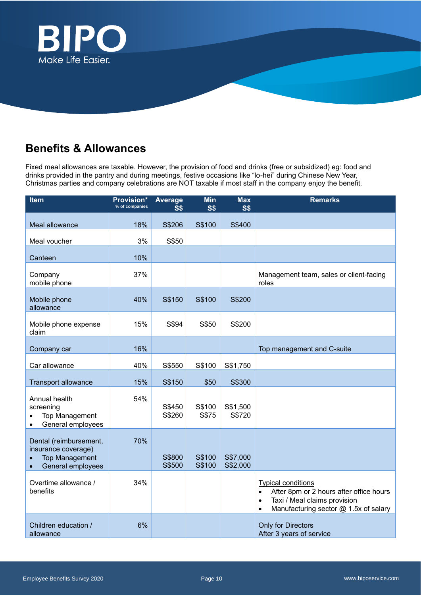

## **Benefits & Allowances**

Fixed meal allowances are taxable. However, the provision of food and drinks (free or subsidized) eg: food and drinks provided in the pantry and during meetings, festive occasions like "lo-hei" during Chinese New Year, Christmas parties and company celebrations are NOT taxable if most staff in the company enjoy the benefit.

| <b>Item</b>                                                                                              | <b>Provision*</b><br>% of companies | Average<br>S <sub>3</sub> | <b>Min</b><br><b>S\$</b> | <b>Max</b><br><b>S\$</b> | <b>Remarks</b>                                                                                                                                                                       |
|----------------------------------------------------------------------------------------------------------|-------------------------------------|---------------------------|--------------------------|--------------------------|--------------------------------------------------------------------------------------------------------------------------------------------------------------------------------------|
| Meal allowance                                                                                           | 18%                                 | S\$206                    | S\$100                   | S\$400                   |                                                                                                                                                                                      |
| Meal voucher                                                                                             | 3%                                  | S\$50                     |                          |                          |                                                                                                                                                                                      |
| Canteen                                                                                                  | 10%                                 |                           |                          |                          |                                                                                                                                                                                      |
| Company<br>mobile phone                                                                                  | 37%                                 |                           |                          |                          | Management team, sales or client-facing<br>roles                                                                                                                                     |
| Mobile phone<br>allowance                                                                                | 40%                                 | S\$150                    | S\$100                   | S\$200                   |                                                                                                                                                                                      |
| Mobile phone expense<br>claim                                                                            | 15%                                 | S\$94                     | S\$50                    | S\$200                   |                                                                                                                                                                                      |
| Company car                                                                                              | 16%                                 |                           |                          |                          | Top management and C-suite                                                                                                                                                           |
| Car allowance                                                                                            | 40%                                 | S\$550                    | S\$100                   | S\$1,750                 |                                                                                                                                                                                      |
| <b>Transport allowance</b>                                                                               | 15%                                 | S\$150                    | \$50                     | S\$300                   |                                                                                                                                                                                      |
| Annual health<br>screening<br><b>Top Management</b><br>General employees<br>$\bullet$                    | 54%                                 | S\$450<br>S\$260          | S\$100<br>S\$75          | S\$1,500<br>S\$720       |                                                                                                                                                                                      |
| Dental (reimbursement,<br>insurance coverage)<br><b>Top Management</b><br>General employees<br>$\bullet$ | 70%                                 | S\$800<br>S\$500          | S\$100<br>S\$100         | S\$7,000<br>S\$2,000     |                                                                                                                                                                                      |
| Overtime allowance /<br>benefits                                                                         | 34%                                 |                           |                          |                          | <b>Typical conditions</b><br>After 8pm or 2 hours after office hours<br>$\bullet$<br>Taxi / Meal claims provision<br>$\bullet$<br>Manufacturing sector @ 1.5x of salary<br>$\bullet$ |
| Children education /<br>allowance                                                                        | 6%                                  |                           |                          |                          | Only for Directors<br>After 3 years of service                                                                                                                                       |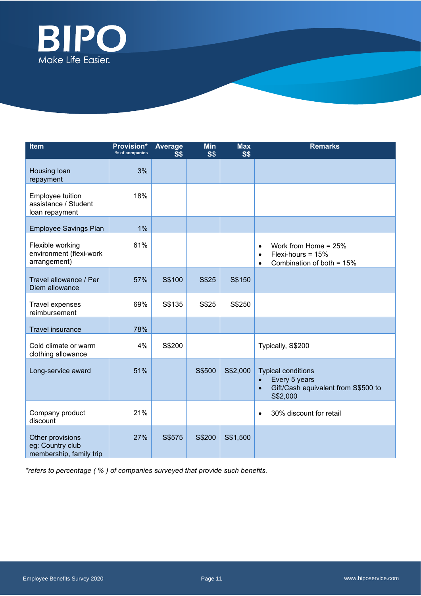

| <b>Item</b>                                                     | <b>Provision*</b><br>% of companies | <b>Average</b><br>S\$ | <b>Min</b><br><b>S\$</b> | <b>Max</b><br><b>S\$</b> | <b>Remarks</b>                                                                                                          |
|-----------------------------------------------------------------|-------------------------------------|-----------------------|--------------------------|--------------------------|-------------------------------------------------------------------------------------------------------------------------|
| Housing loan<br>repayment                                       | 3%                                  |                       |                          |                          |                                                                                                                         |
| Employee tuition<br>assistance / Student<br>loan repayment      | 18%                                 |                       |                          |                          |                                                                                                                         |
| <b>Employee Savings Plan</b>                                    | 1%                                  |                       |                          |                          |                                                                                                                         |
| Flexible working<br>environment (flexi-work<br>arrangement)     | 61%                                 |                       |                          |                          | Work from Home = 25%<br>$\bullet$<br>Flexi-hours = $15%$<br>$\bullet$<br>Combination of both = 15%<br>$\bullet$         |
| Travel allowance / Per<br>Diem allowance                        | 57%                                 | S\$100                | S\$25                    | S\$150                   |                                                                                                                         |
| Travel expenses<br>reimbursement                                | 69%                                 | S\$135                | S\$25                    | S\$250                   |                                                                                                                         |
| <b>Travel insurance</b>                                         | 78%                                 |                       |                          |                          |                                                                                                                         |
| Cold climate or warm<br>clothing allowance                      | 4%                                  | S\$200                |                          |                          | Typically, S\$200                                                                                                       |
| Long-service award                                              | 51%                                 |                       | S\$500                   | S\$2,000                 | <b>Typical conditions</b><br>Every 5 years<br>$\bullet$<br>Gift/Cash equivalent from S\$500 to<br>$\bullet$<br>S\$2,000 |
| Company product<br>discount                                     | 21%                                 |                       |                          |                          | 30% discount for retail<br>$\bullet$                                                                                    |
| Other provisions<br>eg: Country club<br>membership, family trip | 27%                                 | S\$575                | S\$200                   | S\$1,500                 |                                                                                                                         |

*\*refers to percentage ( % ) of companies surveyed that provide such benefits.*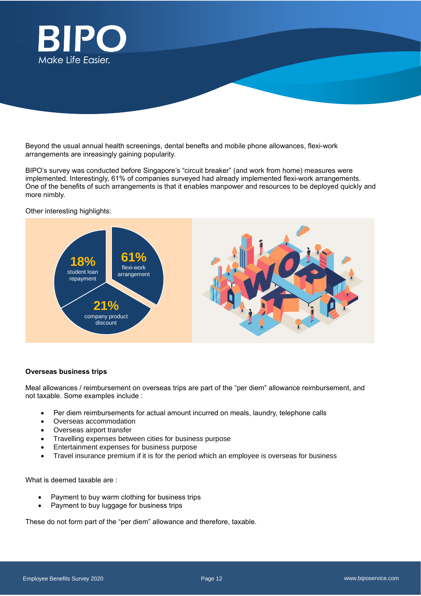

Beyond the usual annual health screenings, dental benefts and mobile phone allowances, flexi-work arrangements are inreasingly gaining popularity.

BIPO's survey was conducted before Singapore's "circuit breaker" (and work from home) measures were implemented. Interestingly, 61% of companies surveyed had already implemented flexi-work arrangements. One of the benefits of such arrangements is that it enables manpower and resources to be deployed quickly and more nimbly.

Other interesting highlights:



### **Overseas business trips**

Meal allowances / reimbursement on overseas trips are part of the "per diem" allowance reimbursement, and not taxable. Some examples include :

- Per diem reimbursements for actual amount incurred on meals, laundry, telephone calls
- Overseas accommodation
- Overseas airport transfer
- Travelling expenses between cities for business purpose
- Entertainment expenses for business purpose
- Travel insurance premium if it is for the period which an employee is overseas for business

What is deemed taxable are :

- Payment to buy warm clothing for business trips
- Payment to buy luggage for business trips

These do not form part of the "per diem" allowance and therefore, taxable.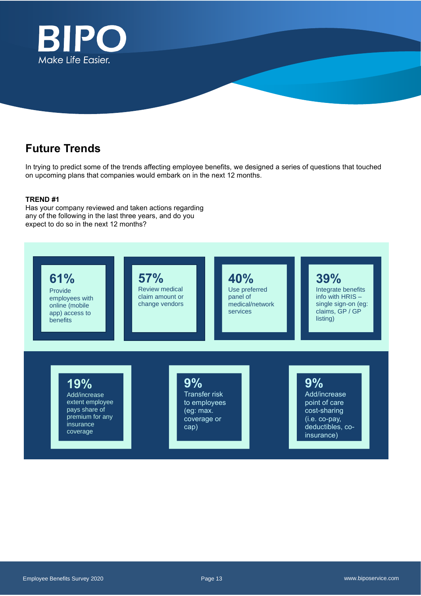

## **Future Trends**

In trying to predict some of the trends affecting employee benefits, we designed a series of questions that touched on upcoming plans that companies would embark on in the next 12 months.

### **TREND #1**

Has your company reviewed and taken actions regarding any of the following in the last three years, and do you expect to do so in the next 12 months?

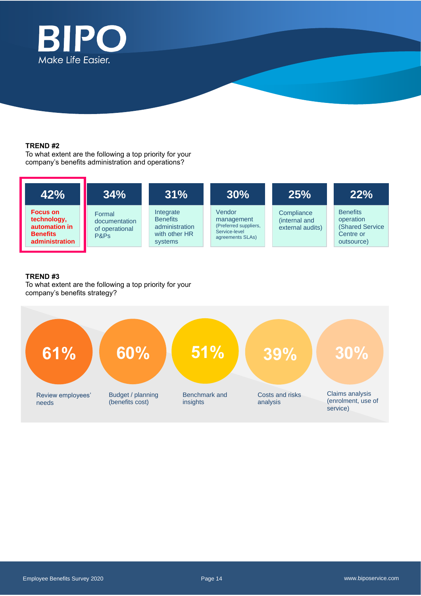

### **TREND #2**

To what extent are the following a top priority for your company's benefits administration and operations?



### **TREND #3**

To what extent are the following a top priority for your company's benefits strategy?

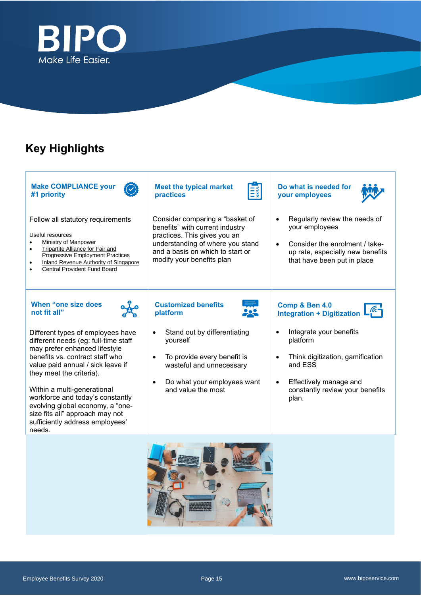

## **Key Highlights**

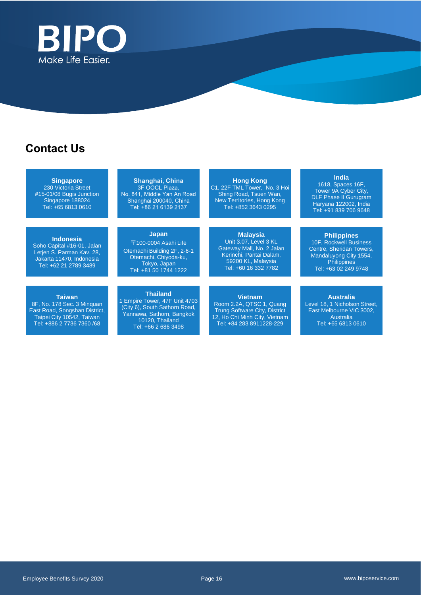

## **Contact Us**

**Singapore** 230 Victoria Street #15-01/08 Bugis Junction Singapore 188024 Tel: +65 6813 0610

#### **Indonesia**

Soho Capital #16-01, Jalan Letjen S. Parman Kav. 28, Jakarta 11470, Indonesia Tel: +62 21 2789 3489

#### **Taiwan**

8F, No. 178 Sec. 3 Minquan East Road, Songshan District, Taipei City 10542, Taiwan Tel: +886 2 7736 7360 /68

### Shanghai, China 3F OOCL Plaza,<br>No. 841, Middle Yan An Road Shanghai 200040, China Tel: +86 21 6139 2137

**Japan** 〒100-0004 Asahi Life Otemachi Building 2F, 2-6-1 Otemachi, Chiyoda-ku, Tokyo, Japan Tel: +81 50 1744 1222

**Thailand** 1 Empire Tower, 47F Unit 4703 (City 6), South Sathorn Road, Yannawa, Sathorn, Bangkok 10120, Thailand Tel: +66 2 686 3498

**Hong Kong** C1, 22F TML Tower, No. 3 Hoi Shing Road, Tsuen Wan, New Territories, Hong Kong Tel: +852 3643 0295

### **Malaysia**

Unit 3.07, Level 3 KL Gateway Mall, No. 2 Jalan Kerinchi, Pantai Dalam, 59200 KL, Malaysia Tel: +60 16 332 7782

### **Vietnam**

Room 2.2A, QTSC 1, Quang Trung Software City, District 12, Ho Chi Minh City, Vietnam Tel: +84 283 8911228-229

### **India**

1618, Spaces 16F, Tower 9A Cyber City, DLF Phase II Gurugram Haryana 122002, India Tel: +91 839 706 9648

**Philippines** 10F, Rockwell Business Centre, Sheridan Towers,

Mandaluyong City 1554, **Philippines** Tel: +63 02 249 9748

**Australia** Level 18, 1 Nicholson Street, East Melbourne VIC 3002, **Australia** Tel: +65 6813 0610

Employee Benefits Survey 2020 Page 16 www.biposervice.com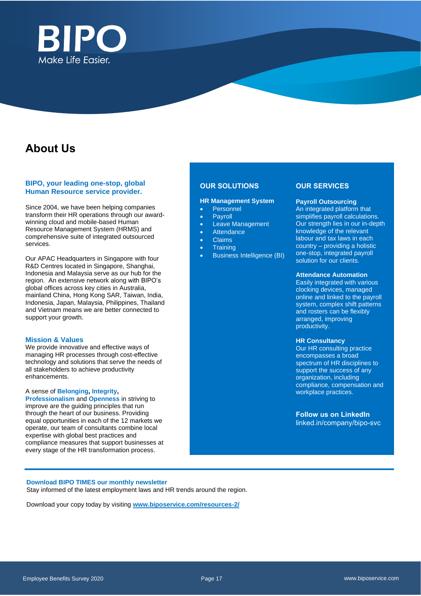

## **About Us**

### **BIPO, your leading one-stop, global Human Resource service provider.**

Since 2004, we have been helping companies transform their HR operations through our awardwinning cloud and mobile-based Human Resource Management System (HRMS) and comprehensive suite of integrated outsourced services.

Our APAC Headquarters in Singapore with four R&D Centres located in Singapore, Shanghai, Indonesia and Malaysia serve as our hub for the region. An extensive network along with BIPO's global offices across key cities in Australia, mainland China, Hong Kong SAR, Taiwan, India, Indonesia, Japan, Malaysia, Philippines, Thailand and Vietnam means we are better connected to support your growth.

### **Mission & Values**

We provide innovative and effective ways of managing HR processes through cost-effective technology and solutions that serve the needs of all stakeholders to achieve productivity enhancements.

#### A sense of **Belonging, Integrity,**

**Professionalism** and **Openness** in striving to improve are the guiding principles that run through the heart of our business. Providing equal opportunities in each of the 12 markets we operate, our team of consultants combine local expertise with global best practices and compliance measures that support businesses at every stage of the HR transformation process.

### **OUR SOLUTIONS**

#### **HR Management System**

- **Personnel**
- **Payroll**
- Leave Management
- **Attendance**
- Claims
- **Training**
- Business Intelligence (BI)

#### **OUR SERVICES**

#### **Payroll Outsourcing**

An integrated platform that simplifies payroll calculations. Our strength lies in our in-depth knowledge of the relevant labour and tax laws in each country – providing a holistic one-stop, integrated payroll solution for our clients.

#### **Attendance Automation**

Easily integrated with various clocking devices, managed online and linked to the payroll system, complex shift patterns and rosters can be flexibly arranged, improving productivity.

#### **HR Consultancy**

Our HR consulting practice encompasses a broad spectrum of HR disciplines to support the success of any organization, including compliance, compensation and workplace practices.

**Follow us on LinkedIn** linked.in/company/bipo-svc

#### **Download [BIPO TIMES](https://www.biposervice.com/resources-2/) our monthly newsletter**

Stay informed of the latest employment laws and HR trends around the region.

Download your copy today by visiting **[www.biposervice.com/resources-2/](http://www.biposervice.com/resources-2/)**